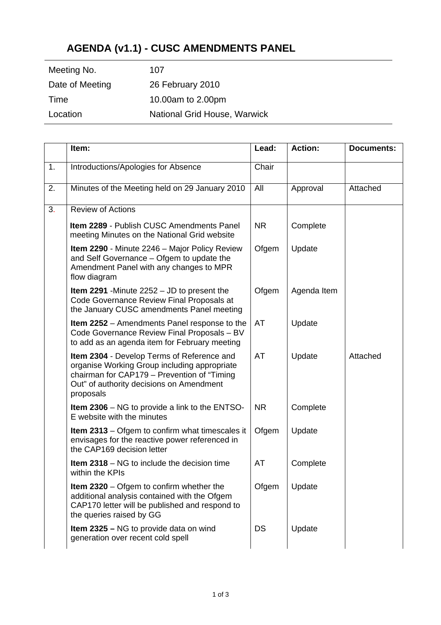## **AGENDA (v1.1) - CUSC AMENDMENTS PANEL**

| Meeting No.     | 107                          |
|-----------------|------------------------------|
| Date of Meeting | 26 February 2010             |
| Time            | 10.00am to 2.00pm            |
| Location        | National Grid House, Warwick |

|    | Item:                                                                                                                                                                                              | Lead:     | <b>Action:</b> | <b>Documents:</b> |
|----|----------------------------------------------------------------------------------------------------------------------------------------------------------------------------------------------------|-----------|----------------|-------------------|
| 1. | Introductions/Apologies for Absence                                                                                                                                                                | Chair     |                |                   |
| 2. | Minutes of the Meeting held on 29 January 2010                                                                                                                                                     | All       | Approval       | Attached          |
| 3. | <b>Review of Actions</b>                                                                                                                                                                           |           |                |                   |
|    | <b>Item 2289 - Publish CUSC Amendments Panel</b><br>meeting Minutes on the National Grid website                                                                                                   | <b>NR</b> | Complete       |                   |
|    | <b>Item 2290 - Minute 2246 - Major Policy Review</b><br>and Self Governance - Ofgem to update the<br>Amendment Panel with any changes to MPR<br>flow diagram                                       | Ofgem     | Update         |                   |
|    | <b>Item 2291</b> - Minute $2252 - JD$ to present the<br>Code Governance Review Final Proposals at<br>the January CUSC amendments Panel meeting                                                     | Ofgem     | Agenda Item    |                   |
|    | <b>Item 2252</b> – Amendments Panel response to the<br>Code Governance Review Final Proposals - BV<br>to add as an agenda item for February meeting                                                | AT        | Update         |                   |
|    | Item 2304 - Develop Terms of Reference and<br>organise Working Group including appropriate<br>chairman for CAP179 - Prevention of "Timing<br>Out" of authority decisions on Amendment<br>proposals | AT        | Update         | Attached          |
|    | <b>Item 2306</b> – NG to provide a link to the ENTSO-<br>E website with the minutes                                                                                                                | <b>NR</b> | Complete       |                   |
|    | <b>Item 2313</b> – Ofgem to confirm what timescales it<br>envisages for the reactive power referenced in<br>the CAP169 decision letter                                                             | Ofgem     | Update         |                   |
|    | <b>Item 2318</b> – NG to include the decision time<br>within the KPIs                                                                                                                              | AT        | Complete       |                   |
|    | <b>Item 2320</b> $-$ Ofgem to confirm whether the<br>additional analysis contained with the Ofgem<br>CAP170 letter will be published and respond to<br>the queries raised by GG                    | Ofgem     | Update         |                   |
|    | <b>Item 2325 – NG to provide data on wind</b><br>generation over recent cold spell                                                                                                                 | <b>DS</b> | Update         |                   |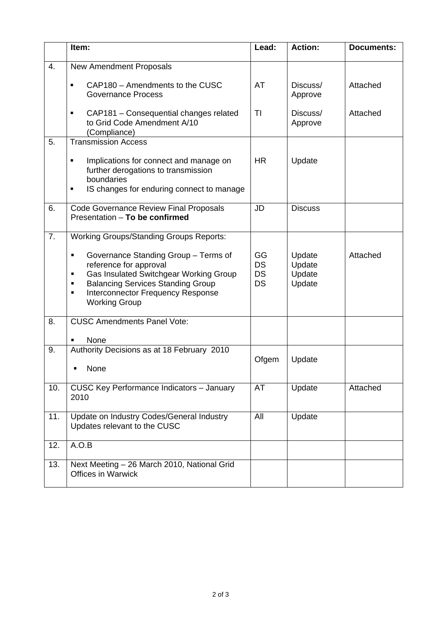|     | Item:                                                                                                                                                                                                                                        | Lead:                                     | <b>Action:</b>                       | <b>Documents:</b> |
|-----|----------------------------------------------------------------------------------------------------------------------------------------------------------------------------------------------------------------------------------------------|-------------------------------------------|--------------------------------------|-------------------|
| 4.  | <b>New Amendment Proposals</b>                                                                                                                                                                                                               |                                           |                                      |                   |
|     | CAP180 - Amendments to the CUSC<br>$\blacksquare$<br><b>Governance Process</b>                                                                                                                                                               | AT                                        | Discuss/<br>Approve                  | Attached          |
|     | CAP181 - Consequential changes related<br>٠<br>to Grid Code Amendment A/10<br>(Compliance)                                                                                                                                                   | ΤI                                        | Discuss/<br>Approve                  | Attached          |
| 5.  | <b>Transmission Access</b>                                                                                                                                                                                                                   |                                           |                                      |                   |
|     | Implications for connect and manage on<br>٠<br>further derogations to transmission<br>boundaries<br>IS changes for enduring connect to manage<br>٠                                                                                           | <b>HR</b>                                 | Update                               |                   |
| 6.  | <b>Code Governance Review Final Proposals</b><br>Presentation - To be confirmed                                                                                                                                                              | <b>JD</b>                                 | <b>Discuss</b>                       |                   |
| 7.  | <b>Working Groups/Standing Groups Reports:</b>                                                                                                                                                                                               |                                           |                                      |                   |
|     | Governance Standing Group - Terms of<br>п<br>reference for approval<br>Gas Insulated Switchgear Working Group<br>п<br><b>Balancing Services Standing Group</b><br>٠<br><b>Interconnector Frequency Response</b><br>٠<br><b>Working Group</b> | GG<br><b>DS</b><br><b>DS</b><br><b>DS</b> | Update<br>Update<br>Update<br>Update | Attached          |
| 8.  | <b>CUSC Amendments Panel Vote:</b>                                                                                                                                                                                                           |                                           |                                      |                   |
|     | None                                                                                                                                                                                                                                         |                                           |                                      |                   |
| 9.  | Authority Decisions as at 18 February 2010<br>None                                                                                                                                                                                           | Ofgem                                     | Update                               |                   |
| 10. | <b>CUSC Key Performance Indicators - January</b><br>2010                                                                                                                                                                                     | AT                                        | Update                               | Attached          |
| 11. | Update on Industry Codes/General Industry<br>Updates relevant to the CUSC                                                                                                                                                                    | All                                       | Update                               |                   |
| 12. | A.O.B                                                                                                                                                                                                                                        |                                           |                                      |                   |
| 13. | Next Meeting - 26 March 2010, National Grid<br><b>Offices in Warwick</b>                                                                                                                                                                     |                                           |                                      |                   |